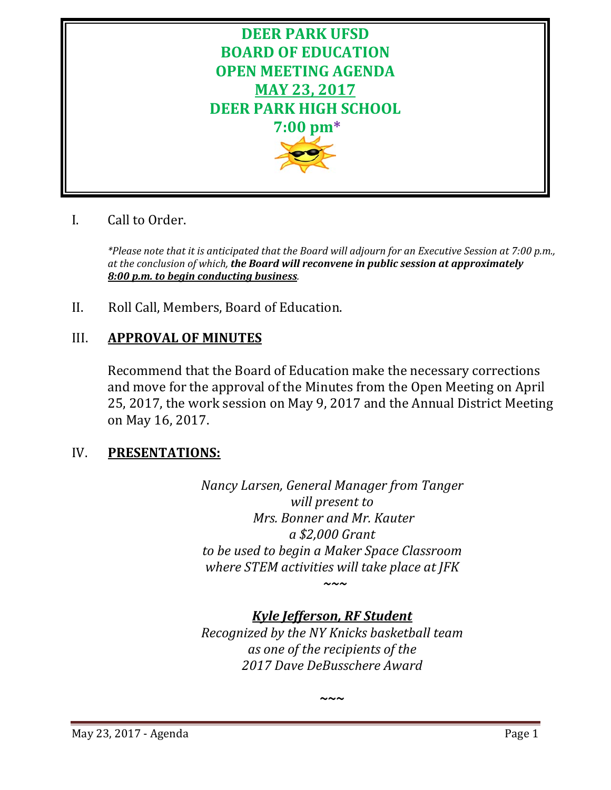

# I. Call to Order.

*\*Please note that it is anticipated that the Board will adjourn for an Executive Session at 7:00 p.m., at the conclusion of which, the Board will reconvene in public session at approximately 8:00 p.m. to begin conducting business.*

II. Roll Call, Members, Board of Education.

# III. **APPROVAL OF MINUTES**

Recommend that the Board of Education make the necessary corrections and move for the approval of the Minutes from the Open Meeting on April 25, 2017, the work session on May 9, 2017 and the Annual District Meeting on May 16, 2017.

# IV. **PRESENTATIONS:**

*Nancy Larsen, General Manager from Tanger will present to Mrs. Bonner and Mr. Kauter a \$2,000 Grant to be used to begin a Maker Space Classroom where STEM activities will take place at JFK ~~~*

# *Kyle Jefferson, RF Student*

*Recognized by the NY Knicks basketball team as one of the recipients of the 2017 Dave DeBusschere Award*

**~~~**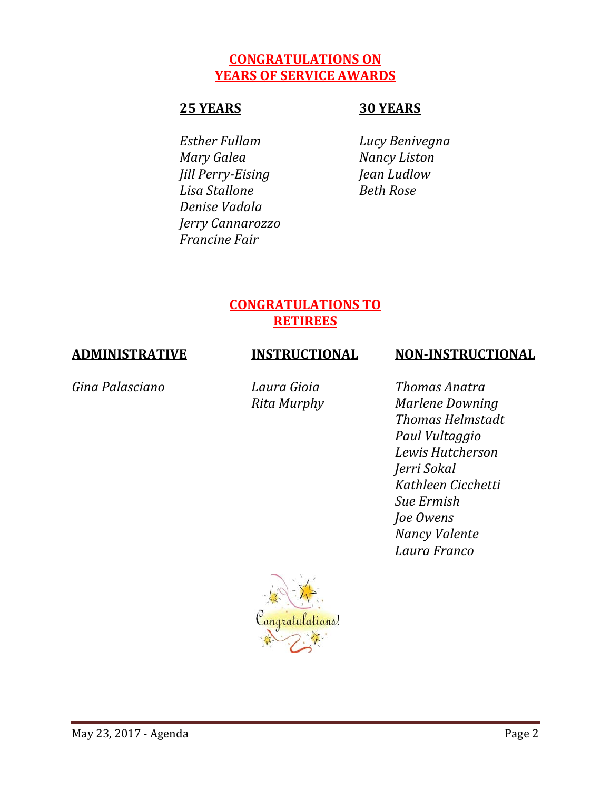# **CONGRATULATIONS ON YEARS OF SERVICE AWARDS**

# **25 YEARS 30 YEARS**

*Esther Fullam Lucy Benivegna Mary Galea Nancy Liston Jill Perry-Eising Jean Ludlow Lisa Stallone Beth Rose Denise Vadala Jerry Cannarozzo Francine Fair*

# **CONGRATULATIONS TO RETIREES**

# **ADMINISTRATIVE INSTRUCTIONAL NON-INSTRUCTIONAL**

*Gina Palasciano Laura Gioia Thomas Anatra*

*Rita Murphy Marlene Downing Thomas Helmstadt Paul Vultaggio Lewis Hutcherson Jerri Sokal Kathleen Cicchetti Sue Ermish Joe Owens Nancy Valente Laura Franco*

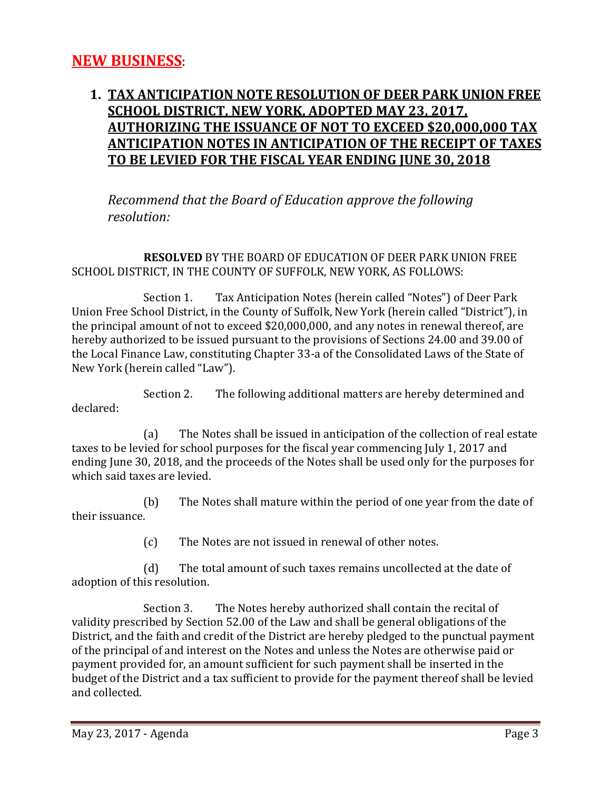# **1. TAX ANTICIPATION NOTE RESOLUTION OF DEER PARK UNION FREE SCHOOL DISTRICT, NEW YORK, ADOPTED MAY 23, 2017, AUTHORIZING THE ISSUANCE OF NOT TO EXCEED \$20,000,000 TAX ANTICIPATION NOTES IN ANTICIPATION OF THE RECEIPT OF TAXES TO BE LEVIED FOR THE FISCAL YEAR ENDING JUNE 30, 2018**

*Recommend that the Board of Education approve the following resolution:*

**RESOLVED** BY THE BOARD OF EDUCATION OF DEER PARK UNION FREE SCHOOL DISTRICT, IN THE COUNTY OF SUFFOLK, NEW YORK, AS FOLLOWS:

Section 1. Tax Anticipation Notes (herein called "Notes") of Deer Park Union Free School District, in the County of Suffolk, New York (herein called "District"), in the principal amount of not to exceed \$20,000,000, and any notes in renewal thereof, are hereby authorized to be issued pursuant to the provisions of Sections 24.00 and 39.00 of the Local Finance Law, constituting Chapter 33-a of the Consolidated Laws of the State of New York (herein called "Law").

Section 2. The following additional matters are hereby determined and declared:

(a) The Notes shall be issued in anticipation of the collection of real estate taxes to be levied for school purposes for the fiscal year commencing July 1, 2017 and ending June 30, 2018, and the proceeds of the Notes shall be used only for the purposes for which said taxes are levied.

(b) The Notes shall mature within the period of one year from the date of their issuance.

(c) The Notes are not issued in renewal of other notes.

(d) The total amount of such taxes remains uncollected at the date of adoption of this resolution.

Section 3. The Notes hereby authorized shall contain the recital of validity prescribed by Section 52.00 of the Law and shall be general obligations of the District, and the faith and credit of the District are hereby pledged to the punctual payment of the principal of and interest on the Notes and unless the Notes are otherwise paid or payment provided for, an amount sufficient for such payment shall be inserted in the budget of the District and a tax sufficient to provide for the payment thereof shall be levied and collected.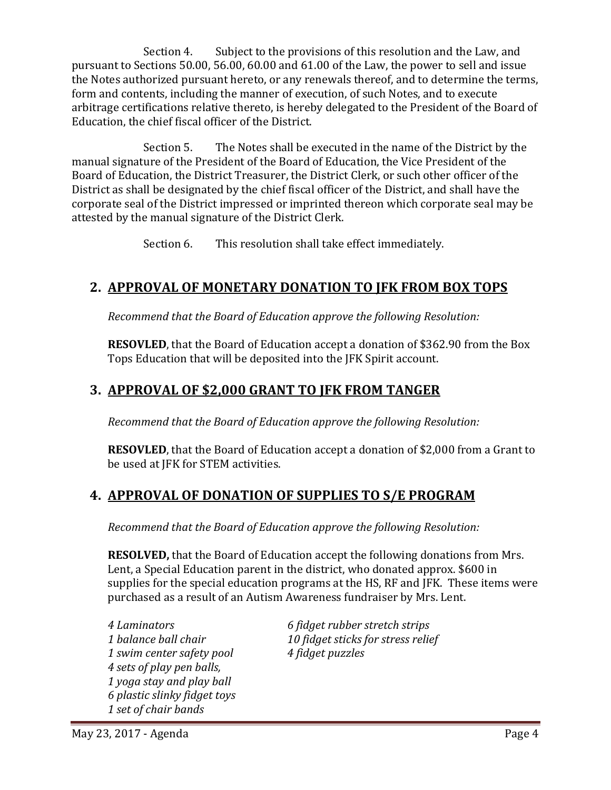Section 4. Subject to the provisions of this resolution and the Law, and pursuant to Sections 50.00, 56.00, 60.00 and 61.00 of the Law, the power to sell and issue the Notes authorized pursuant hereto, or any renewals thereof, and to determine the terms, form and contents, including the manner of execution, of such Notes, and to execute arbitrage certifications relative thereto, is hereby delegated to the President of the Board of Education, the chief fiscal officer of the District.

Section 5. The Notes shall be executed in the name of the District by the manual signature of the President of the Board of Education, the Vice President of the Board of Education, the District Treasurer, the District Clerk, or such other officer of the District as shall be designated by the chief fiscal officer of the District, and shall have the corporate seal of the District impressed or imprinted thereon which corporate seal may be attested by the manual signature of the District Clerk.

Section 6. This resolution shall take effect immediately.

# **2. APPROVAL OF MONETARY DONATION TO JFK FROM BOX TOPS**

*Recommend that the Board of Education approve the following Resolution:*

**RESOVLED**, that the Board of Education accept a donation of \$362.90 from the Box Tops Education that will be deposited into the JFK Spirit account.

# **3. APPROVAL OF \$2,000 GRANT TO JFK FROM TANGER**

*Recommend that the Board of Education approve the following Resolution:*

**RESOVLED**, that the Board of Education accept a donation of \$2,000 from a Grant to be used at JFK for STEM activities.

# **4. APPROVAL OF DONATION OF SUPPLIES TO S/E PROGRAM**

*Recommend that the Board of Education approve the following Resolution:*

**RESOLVED,** that the Board of Education accept the following donations from Mrs. Lent, a Special Education parent in the district, who donated approx. \$600 in supplies for the special education programs at the HS, RF and JFK. These items were purchased as a result of an Autism Awareness fundraiser by Mrs. Lent.

*1 swim center safety pool 4 fidget puzzles 4 sets of play pen balls, 1 yoga stay and play ball 6 plastic slinky fidget toys 1 set of chair bands*

*4 Laminators 6 fidget rubber stretch strips 1 balance ball chair 10 fidget sticks for stress relief*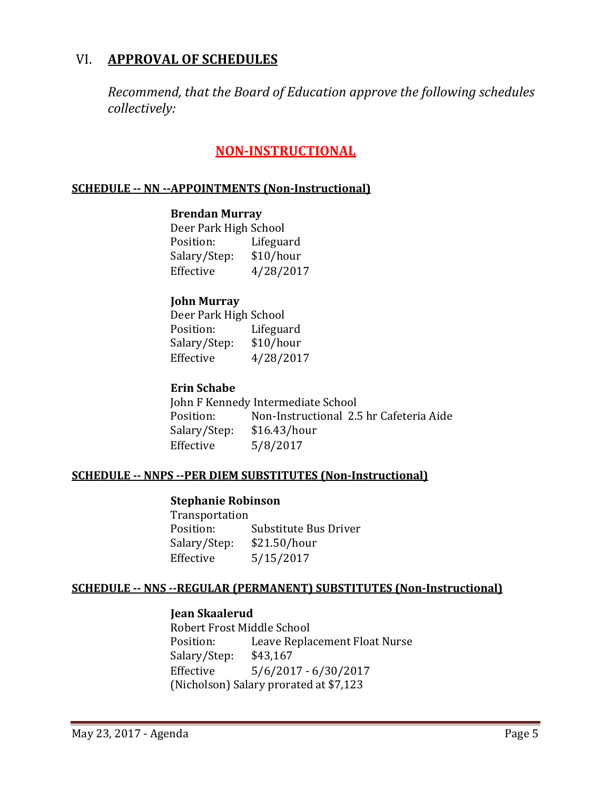# VI. **APPROVAL OF SCHEDULES**

*Recommend, that the Board of Education approve the following schedules collectively:*

# **NON-INSTRUCTIONAL**

#### **SCHEDULE -- NN --APPOINTMENTS (Non-Instructional)**

#### **Brendan Murray**

Deer Park High School<br>Position: Lifeguard Position: Salary/Step: \$10/hour<br>Effective 4/28/201 Effective 4/28/2017

#### **John Murray**

Deer Park High School<br>Position: Lifegua Lifeguard<br>\$10/hour Salary/Step:<br>Effective Effective 4/28/2017

#### **Erin Schabe**

| John F Kennedy Intermediate School |              |                                         |  |
|------------------------------------|--------------|-----------------------------------------|--|
| Position:                          |              | Non-Instructional 2.5 hr Cafeteria Aide |  |
| Salary/Step:                       | \$16.43/hour |                                         |  |
| Effective                          | 5/8/2017     |                                         |  |

#### **SCHEDULE -- NNPS --PER DIEM SUBSTITUTES (Non-Instructional)**

#### **Stephanie Robinson**

| Transportation |                       |
|----------------|-----------------------|
| Position:      | Substitute Bus Driver |
| Salary/Step:   | \$21.50/hour          |
| Effective      | 5/15/2017             |

#### **SCHEDULE -- NNS --REGULAR (PERMANENT) SUBSTITUTES (Non-Instructional)**

#### **Jean Skaalerud**

Robert Frost Middle School<br>Position: Leave Repla Leave Replacement Float Nurse<br>\$43,167 Salary/Step:<br>Effective  $5/6/2017 - 6/30/2017$ (Nicholson) Salary prorated at \$7,123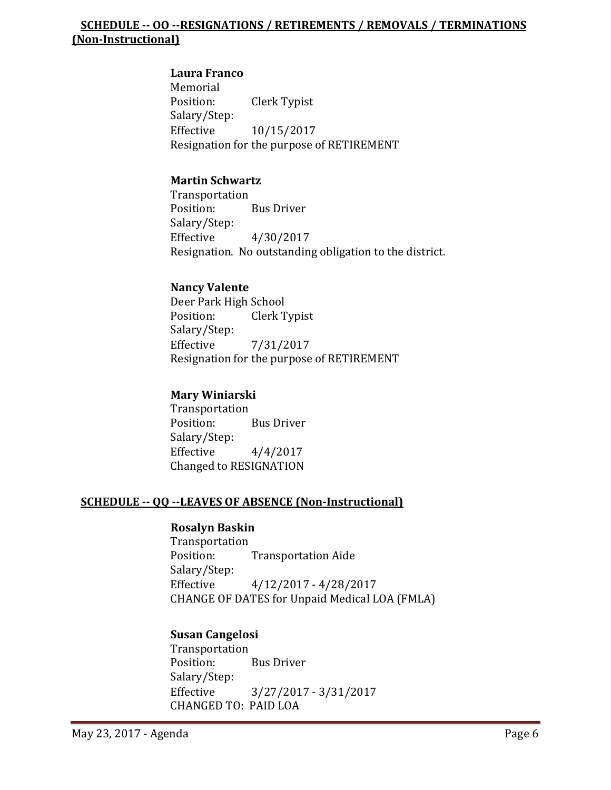## **SCHEDULE -- OO --RESIGNATIONS / RETIREMENTS / REMOVALS / TERMINATIONS (Non-Instructional)**

# **Laura Franco**

Memorial<br>Position: Clerk Typist Salary/Step: Effective 10/15/2017 Resignation for the purpose of RETIREMENT

## **Martin Schwartz**

Transportation<br>Position: **Bus Driver** Salary/Step:<br>Effective Effective 4/30/2017 Resignation. No outstanding obligation to the district.

## **Nancy Valente**

Deer Park High School<br>Position: Clerk T Clerk Typist Salary/Step:<br>Effective Effective 7/31/2017 Resignation for the purpose of RETIREMENT

#### **Mary Winiarski**

Transportation<br>Position: **Bus Driver** Salary/Step:<br>Effective  $4/4/2017$ Changed to RESIGNATION

# **SCHEDULE -- QQ --LEAVES OF ABSENCE (Non-Instructional)**

#### **Rosalyn Baskin**

Transportation<br>Position: **Transportation Aide** Salary/Step:<br>Effective Effective 4/12/2017 - 4/28/2017 CHANGE OF DATES for Unpaid Medical LOA (FMLA)

#### **Susan Cangelosi**

Transportation<br>Position: Bus Driver Salary/Step:<br>Effective Effective 3/27/2017 - 3/31/2017 CHANGED TO: PAID LOA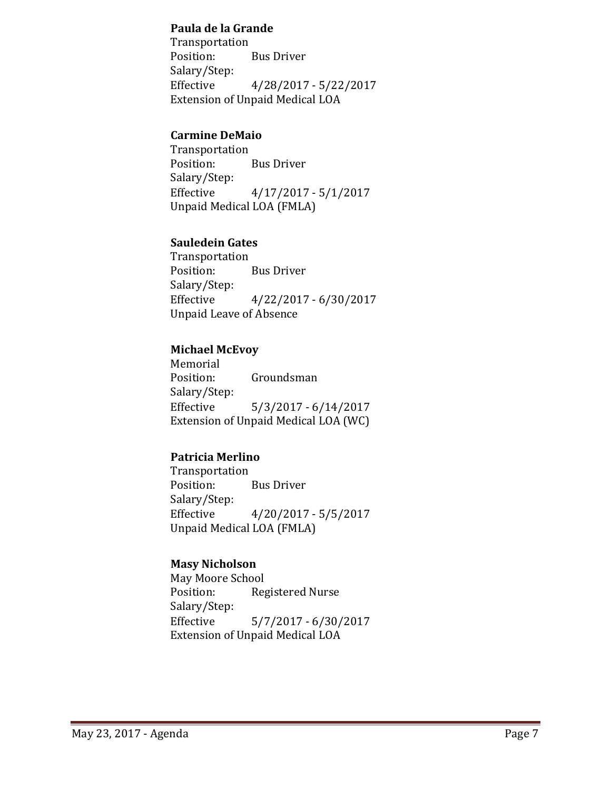#### **Paula de la Grande**

Transportation<br>Position: **Bus Driver** Salary/Step: Effective 4/28/2017 - 5/22/2017 Extension of Unpaid Medical LOA

#### **Carmine DeMaio**

Transportation<br>Position: **Bus Driver** Salary/Step:<br>Effective  $4/17/2017 - 5/1/2017$ Unpaid Medical LOA (FMLA)

## **Sauledein Gates**

Transportation<br>Position: **Bus Driver** Salary/Step: Effective 4/22/2017 - 6/30/2017 Unpaid Leave of Absence

## **Michael McEvoy**

Memorial<br>Position: Groundsman Salary/Step: Effective 5/3/2017 - 6/14/2017 Extension of Unpaid Medical LOA (WC)

# **Patricia Merlino**

Transportation **Bus Driver** Salary/Step:<br>Effective  $4/20/2017 - 5/5/2017$ Unpaid Medical LOA (FMLA)

# **Masy Nicholson**

May Moore School<br>Position: Reg Registered Nurse Salary/Step: Effective 5/7/2017 - 6/30/2017 Extension of Unpaid Medical LOA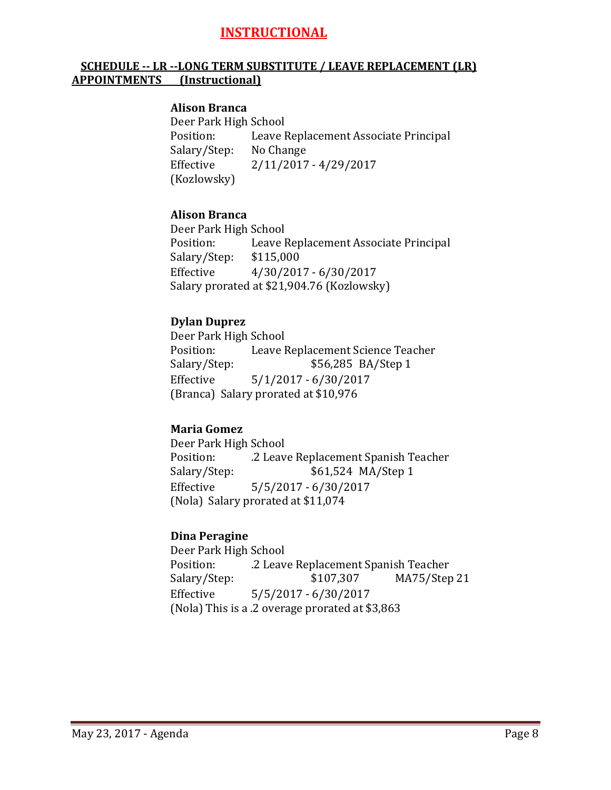# **INSTRUCTIONAL**

## **SCHEDULE -- LR --LONG TERM SUBSTITUTE / LEAVE REPLACEMENT (LR) APPOINTMENTS (Instructional)**

#### **Alison Branca**

Deer Park High School<br>Position: Leave l Leave Replacement Associate Principal<br>No Change Salary/Step:<br>Effective Effective 2/11/2017 - 4/29/2017 (Kozlowsky)

#### **Alison Branca**

Deer Park High School<br>Position: Leave I Leave Replacement Associate Principal \$115,000 Salary/Step: Effective 4/30/2017 - 6/30/2017 Salary prorated at \$21,904.76 (Kozlowsky)

#### **Dylan Duprez**

Deer Park High School<br>Position: Leave I Position: Leave Replacement Science Teacher<br>Salary/Step: \$56,285 BA/Step 1 Salary/Step: \$56,285 BA/Step 1<br>Effective 5/1/2017 - 6/30/2017 Effective 5/1/2017 - 6/30/2017 (Branca) Salary prorated at \$10,976

#### **Maria Gomez**

Deer Park High School Position: ... 2 Leave Replacement Spanish Teacher<br>Salary/Step: ... \$61,524 MA/Step 1 \$61,524 MA/Step 1 Effective 5/5/2017 - 6/30/2017 (Nola) Salary prorated at \$11,074

#### **Dina Peragine**

Deer Park High School Position: .2 Leave Replacement Spanish Teacher MA75/Step 21 Effective 5/5/2017 - 6/30/2017 (Nola) This is a .2 overage prorated at \$3,863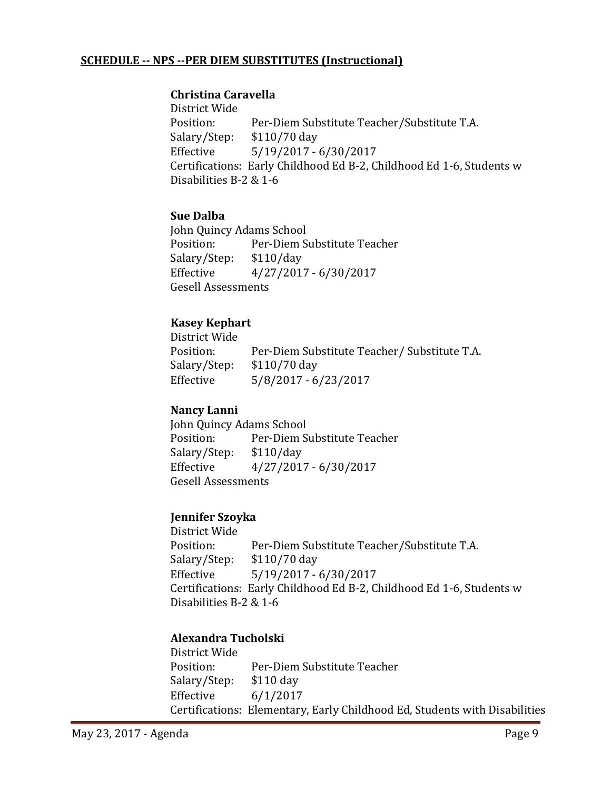## **SCHEDULE -- NPS --PER DIEM SUBSTITUTES (Instructional)**

#### **Christina Caravella**

District Wide Per-Diem Substitute Teacher/Substitute T.A. \$110/70 day Salary/Step:<br>Effective Effective 5/19/2017 - 6/30/2017 Certifications: Early Childhood Ed B-2, Childhood Ed 1-6, Students w Disabilities B-2 & 1-6

## **Sue Dalba**

John Quincy Adams School<br>Position: Per-Diem S Per-Diem Substitute Teacher<br>\$110/day Salary/Step:<br>Effective Effective 4/27/2017 - 6/30/2017 Gesell Assessments

# **Kasey Kephart**

District Wide Per-Diem Substitute Teacher/ Substitute T.A. \$110/70 day Salary/Step:<br>Effective Effective 5/8/2017 - 6/23/2017

#### **Nancy Lanni**

John Quincy Adams School<br>Position: Per-Diem S Per-Diem Substitute Teacher<br>\$110/day Salary/Step:<br>Effective Effective 4/27/2017 - 6/30/2017 Gesell Assessments

#### **Jennifer Szoyka**

District Wide Per-Diem Substitute Teacher/Substitute T.A. \$110/70 day Salary/Step:<br>Effective Effective 5/19/2017 - 6/30/2017 Certifications: Early Childhood Ed B-2, Childhood Ed 1-6, Students w Disabilities B-2 & 1-6

# **Alexandra Tucholski**

District Wide Per-Diem Substitute Teacher<br>\$110 day Salary/Step:<br>Effective  $6/1/2017$ Certifications: Elementary, Early Childhood Ed, Students with Disabilities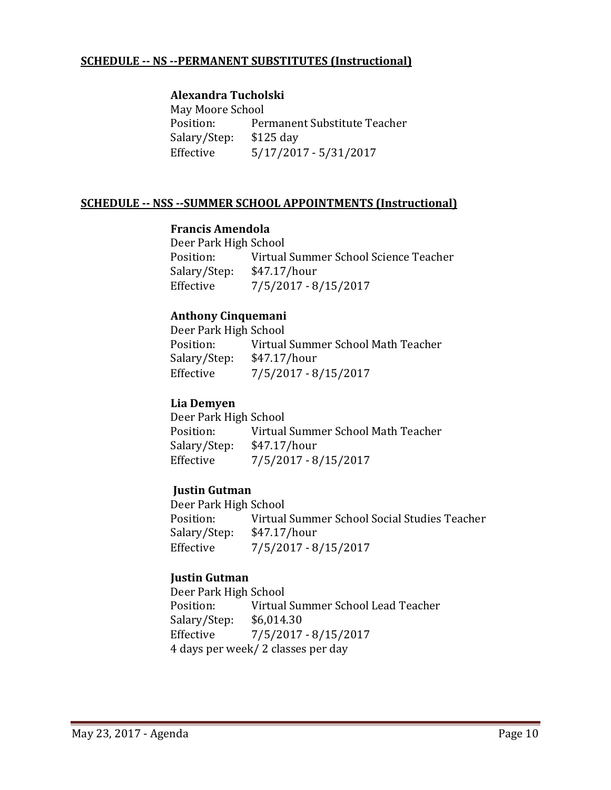## **SCHEDULE -- NS --PERMANENT SUBSTITUTES (Instructional)**

#### **Alexandra Tucholski**

May Moore School<br>Position: Per Permanent Substitute Teacher<br>\$125 day Salary/Step:<br>Effective Effective 5/17/2017 - 5/31/2017

#### **SCHEDULE -- NSS --SUMMER SCHOOL APPOINTMENTS (Instructional)**

#### **Francis Amendola**

Deer Park High School Virtual Summer School Science Teacher<br>\$47.17/hour Salary/Step:<br>Effective Effective 7/5/2017 - 8/15/2017

#### **Anthony Cinquemani**

Deer Park High School<br>Position: Virtual Virtual Summer School Math Teacher<br>\$47.17/hour Salary/Step:<br>Effective  $7/5/2017 - 8/15/2017$ 

#### **Lia Demyen**

Deer Park High School<br>Position: Virtual Virtual Summer School Math Teacher Salary/Step: \$47.17/hour<br>Effective 7/5/2017 - 8 Effective 7/5/2017 - 8/15/2017

#### **Justin Gutman**

Deer Park High School<br>Position: Virtual Virtual Summer School Social Studies Teacher<br>\$47.17/hour Salary/Step:<br>Effective  $7/5/2017 - 8/15/2017$ 

#### **Justin Gutman**

Deer Park High School<br>Position: Virtual Virtual Summer School Lead Teacher<br>\$6,014.30 Salary/Step: Effective 7/5/2017 - 8/15/2017 4 days per week/ 2 classes per day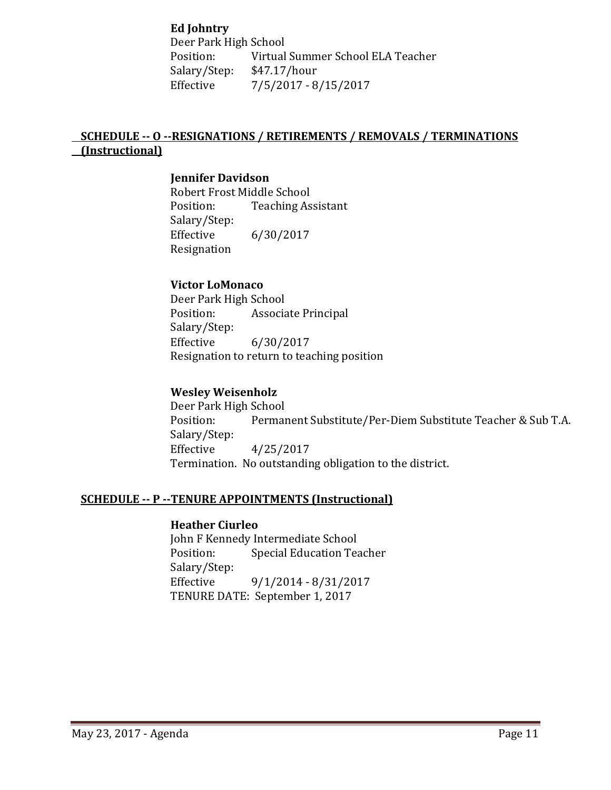**Ed Johntry**

Deer Park High School<br>Position: Virtual Virtual Summer School ELA Teacher<br>\$47.17/hour Salary/Step:<br>Effective Effective 7/5/2017 - 8/15/2017

# **SCHEDULE -- O --RESIGNATIONS / RETIREMENTS / REMOVALS / TERMINATIONS (Instructional)**

#### **Jennifer Davidson**

Robert Frost Middle School<br>Position: Teaching As **Teaching Assistant** Salary/Step: Effective 6/30/2017 Resignation

#### **Victor LoMonaco**

Deer Park High School<br>Position: Associa Associate Principal Salary/Step:<br>Effective Effective 6/30/2017 Resignation to return to teaching position

#### **Wesley Weisenholz**

Deer Park High School<br>Position: Permai Permanent Substitute/Per-Diem Substitute Teacher & Sub T.A. Salary/Step: Effective 4/25/2017 Termination. No outstanding obligation to the district.

#### **SCHEDULE -- P --TENURE APPOINTMENTS (Instructional)**

#### **Heather Ciurleo**

John F Kennedy Intermediate School<br>Position: Special Education Tea Special Education Teacher Salary/Step: Effective 9/1/2014 - 8/31/2017 TENURE DATE: September 1, 2017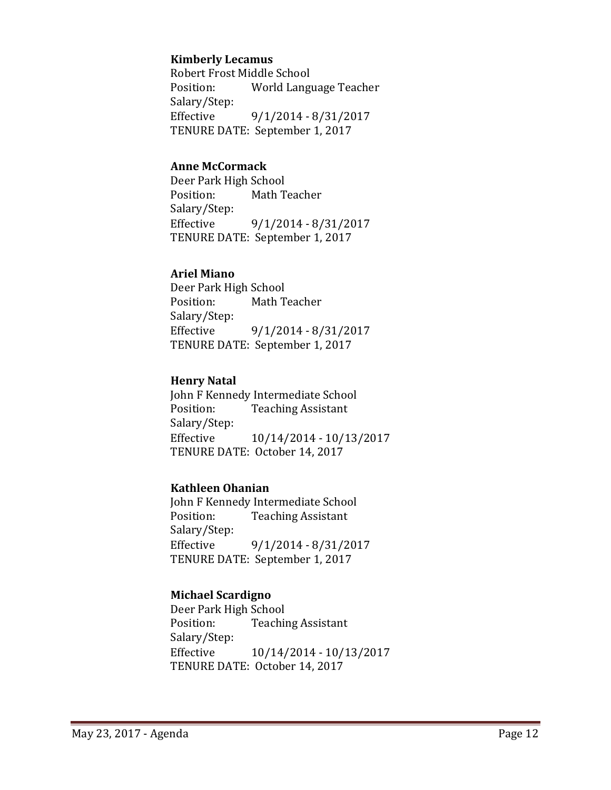#### **Kimberly Lecamus**

Robert Frost Middle School<br>Position: World Langu World Language Teacher Salary/Step: Effective 9/1/2014 - 8/31/2017 TENURE DATE: September 1, 2017

#### **Anne McCormack**

Deer Park High School<br>Position: Math T Math Teacher Salary/Step:<br>Effective Effective 9/1/2014 - 8/31/2017 TENURE DATE: September 1, 2017

#### **Ariel Miano**

Deer Park High School<br>Position: Math T Math Teacher Salary/Step:<br>Effective Effective 9/1/2014 - 8/31/2017 TENURE DATE: September 1, 2017

#### **Henry Natal**

John F Kennedy Intermediate School<br>Position: Teaching Assistant **Teaching Assistant** Salary/Step: Effective 10/14/2014 - 10/13/2017 TENURE DATE: October 14, 2017

#### **Kathleen Ohanian**

John F Kennedy Intermediate School<br>Position: Teaching Assistant **Teaching Assistant** Salary/Step:<br>Effective Effective 9/1/2014 - 8/31/2017 TENURE DATE: September 1, 2017

# **Michael Scardigno**

Deer Park High School<br>Position: Teachii **Teaching Assistant** Salary/Step: Effective 10/14/2014 - 10/13/2017 TENURE DATE: October 14, 2017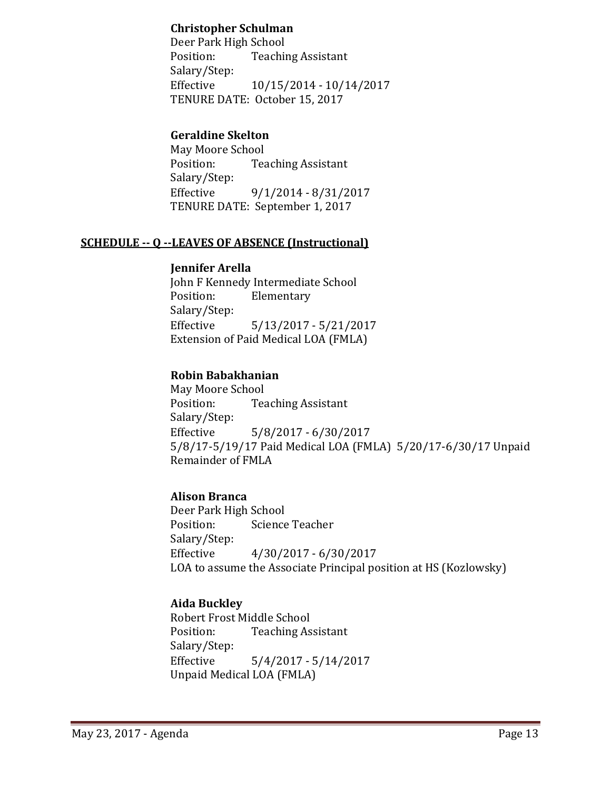### **Christopher Schulman**

Deer Park High School<br>Position: Teachii **Teaching Assistant** Salary/Step: Effective 10/15/2014 - 10/14/2017 TENURE DATE: October 15, 2017

# **Geraldine Skelton**

May Moore School<br>Position: Tea **Teaching Assistant** Salary/Step: Effective 9/1/2014 - 8/31/2017 TENURE DATE: September 1, 2017

#### **SCHEDULE -- Q --LEAVES OF ABSENCE (Instructional)**

#### **Jennifer Arella**

John F Kennedy Intermediate School<br>Position: Elementary Elementary Salary/Step:<br>Effective Effective 5/13/2017 - 5/21/2017 Extension of Paid Medical LOA (FMLA)

#### **Robin Babakhanian**

May Moore School<br>Position: Tea **Teaching Assistant** Salary/Step: Effective 5/8/2017 - 6/30/2017 5/8/17-5/19/17 Paid Medical LOA (FMLA) 5/20/17-6/30/17 Unpaid Remainder of FMLA

#### **Alison Branca**

Deer Park High School<br>Position: Science Science Teacher Salary/Step: Effective 4/30/2017 - 6/30/2017 LOA to assume the Associate Principal position at HS (Kozlowsky)

# **Aida Buckley**

Robert Frost Middle School<br>Position: Teaching As **Teaching Assistant** Salary/Step:<br>Effective  $5/4/2017 - 5/14/2017$ Unpaid Medical LOA (FMLA)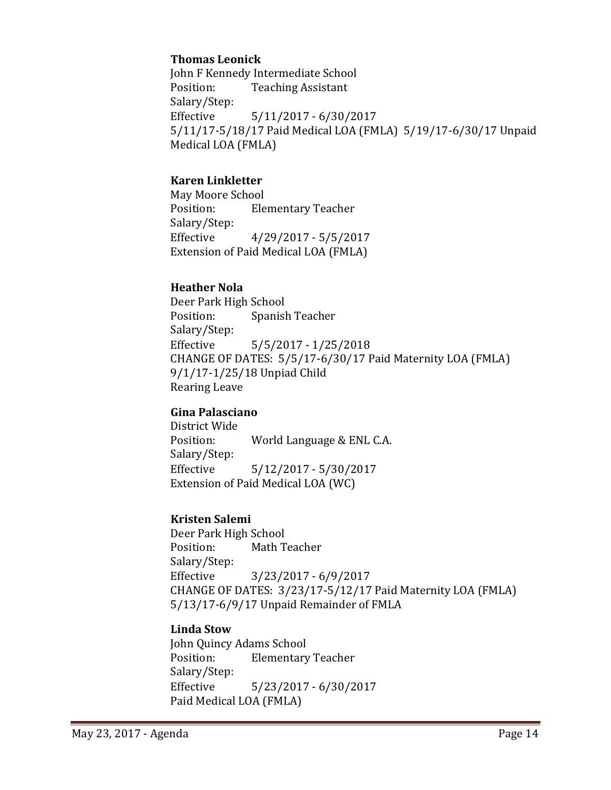#### **Thomas Leonick**

John F Kennedy Intermediate School<br>Position: Teaching Assistant **Teaching Assistant** Salary/Step:<br>Effective Effective 5/11/2017 - 6/30/2017 5/11/17-5/18/17 Paid Medical LOA (FMLA) 5/19/17-6/30/17 Unpaid Medical LOA (FMLA)

# **Karen Linkletter**

May Moore School<br>Position: Ele **Elementary Teacher** Salary/Step:<br>Effective Effective 4/29/2017 - 5/5/2017 Extension of Paid Medical LOA (FMLA)

## **Heather Nola**

Deer Park High School<br>Position: Spanisl Spanish Teacher Salary/Step:  $5/5/2017 - 1/25/2018$ CHANGE OF DATES: 5/5/17-6/30/17 Paid Maternity LOA (FMLA) 9/1/17-1/25/18 Unpiad Child Rearing Leave

#### **Gina Palasciano**

District Wide World Language & ENL C.A. Salary/Step: Effective 5/12/2017 - 5/30/2017 Extension of Paid Medical LOA (WC)

# **Kristen Salemi**

Deer Park High School<br>Position: Math T **Math Teacher** Salary/Step:<br>Effective Effective 3/23/2017 - 6/9/2017 CHANGE OF DATES: 3/23/17-5/12/17 Paid Maternity LOA (FMLA) 5/13/17-6/9/17 Unpaid Remainder of FMLA

#### **Linda Stow**

John Quincy Adams School<br>Position: Elementary **Elementary Teacher** Salary/Step: Effective 5/23/2017 - 6/30/2017 Paid Medical LOA (FMLA)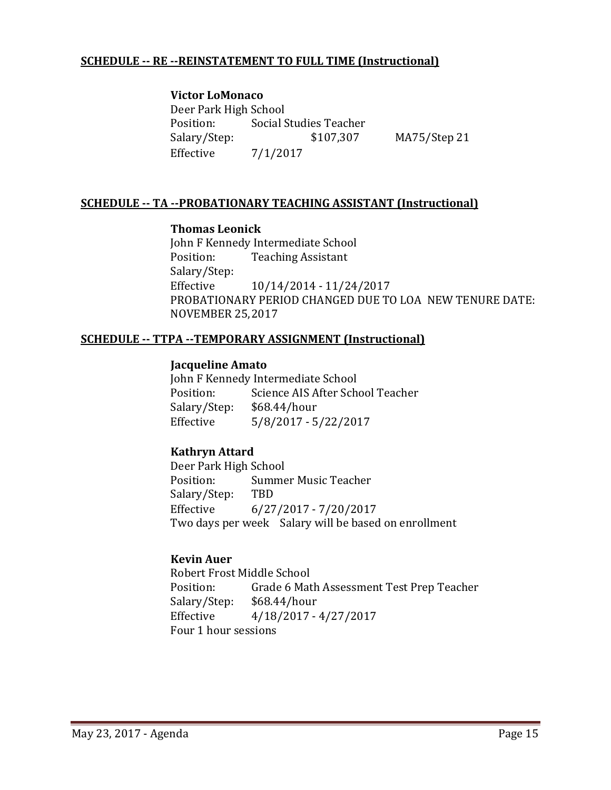#### **SCHEDULE -- RE --REINSTATEMENT TO FULL TIME (Instructional)**

#### **Victor LoMonaco**

Deer Park High School<br>Position: Social S Position: Social Studies Teacher<br>Salary/Step: \$107,307  $MA75/Step 21$ Effective 7/1/2017

## **SCHEDULE -- TA --PROBATIONARY TEACHING ASSISTANT (Instructional)**

#### **Thomas Leonick**

John F Kennedy Intermediate School<br>Position: Teaching Assistant **Teaching Assistant** Salary/Step:<br>Effective Effective 10/14/2014 - 11/24/2017 PROBATIONARY PERIOD CHANGED DUE TO LOA NEW TENURE DATE: NOVEMBER 25,2017

#### **SCHEDULE -- TTPA --TEMPORARY ASSIGNMENT (Instructional)**

#### **Jacqueline Amato**

John F Kennedy Intermediate School<br>Position: Science AIS After Sch Science AIS After School Teacher<br>\$68.44/hour Salary/Step:<br>Effective Effective 5/8/2017 - 5/22/2017

#### **Kathryn Attard**

Deer Park High School Summer Music Teacher<br>TBD Salary/Step: Effective 6/27/2017 - 7/20/2017 Two days per week Salary will be based on enrollment

#### **Kevin Auer**

Robert Frost Middle School<br>Position: Grade 6 Mat Grade 6 Math Assessment Test Prep Teacher<br>\$68.44/hour Salary/Step:<br>Effective Effective 4/18/2017 - 4/27/2017 Four 1 hour sessions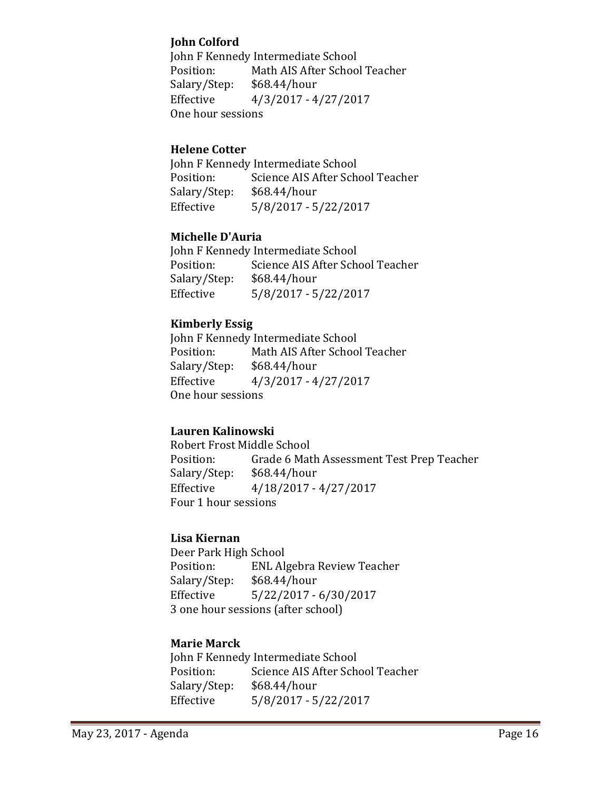## **John Colford**

John F Kennedy Intermediate School<br>Position: Math AIS After Schoo Math AIS After School Teacher<br>\$68.44/hour Salary/Step:<br>Effective Effective 4/3/2017 - 4/27/2017 One hour sessions

## **Helene Cotter**

John F Kennedy Intermediate School<br>Position: Science AIS After Sch Position: Science AIS After School Teacher<br>Salary/Step: \$68.44/hour  $$68.44/hour$ Effective 5/8/2017 - 5/22/2017

## **Michelle D'Auria**

John F Kennedy Intermediate School<br>Position: Science AIS After Scho Science AIS After School Teacher<br>\$68.44/hour Salary/Step:<br>Effective Effective 5/8/2017 - 5/22/2017

# **Kimberly Essig**

John F Kennedy Intermediate School<br>Position: Math AIS After Schoo Math AIS After School Teacher Salary/Step: \$68.44/hour<br>Effective 4/3/2017 - 4 Effective 4/3/2017 - 4/27/2017 One hour sessions

# **Lauren Kalinowski**

Robert Frost Middle School<br>Position: Grade 6 Mat Grade 6 Math Assessment Test Prep Teacher<br>\$68.44/hour Salary/Step:<br>Effective Effective 4/18/2017 - 4/27/2017 Four 1 hour sessions

#### **Lisa Kiernan**

Deer Park High School<br>Position: ENL Al ENL Algebra Review Teacher<br>\$68.44/hour Salary/Step:<br>Effective Effective 5/22/2017 - 6/30/2017 3 one hour sessions (after school)

# **Marie Marck**

John F Kennedy Intermediate School<br>Position: Science AIS After Scho Position: Science AIS After School Teacher<br>Salary/Step: \$68.44/hour  $$68.44/hour$ Effective 5/8/2017 - 5/22/2017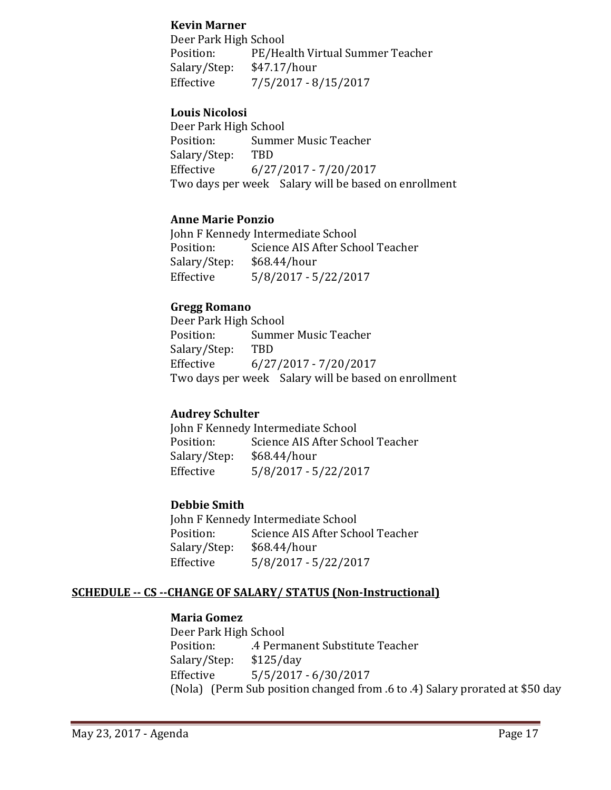#### **Kevin Marner**

Deer Park High School Position: PE/Health Virtual Summer Teacher<br>Salary/Step: \$47.17/hour Salary/Step:<br>Effective  $7/5/2017 - 8/15/2017$ 

#### **Louis Nicolosi**

Deer Park High School<br>Position: Summe Summer Music Teacher<br>TBD Salary/Step:<br>Effective Effective 6/27/2017 - 7/20/2017 Two days per week Salary will be based on enrollment

#### **Anne Marie Ponzio**

John F Kennedy Intermediate School<br>Position: Science AIS After Sch Science AIS After School Teacher<br>\$68.44/hour Salary/Step:<br>Effective Effective 5/8/2017 - 5/22/2017

#### **Gregg Romano**

Deer Park High School<br>Position: Summe Summer Music Teacher<br>TBD Salary/Step:<br>Effective Effective 6/27/2017 - 7/20/2017 Two days per week Salary will be based on enrollment

#### **Audrey Schulter**

John F Kennedy Intermediate School<br>Position: Science AIS After Sch Science AIS After School Teacher<br>\$68.44/hour Salary/Step:<br>Effective Effective 5/8/2017 - 5/22/2017

#### **Debbie Smith**

John F Kennedy Intermediate School<br>Position: Science AIS After Scho Science AIS After School Teacher<br>\$68.44/hour Salary/Step: Effective 5/8/2017 - 5/22/2017

#### **SCHEDULE -- CS --CHANGE OF SALARY/ STATUS (Non-Instructional)**

#### **Maria Gomez**

Deer Park High School .4 Permanent Substitute Teacher<br>\$125/day Salary/Step:<br>Effective Effective 5/5/2017 - 6/30/2017 (Nola) (Perm Sub position changed from .6 to .4) Salary prorated at \$50 day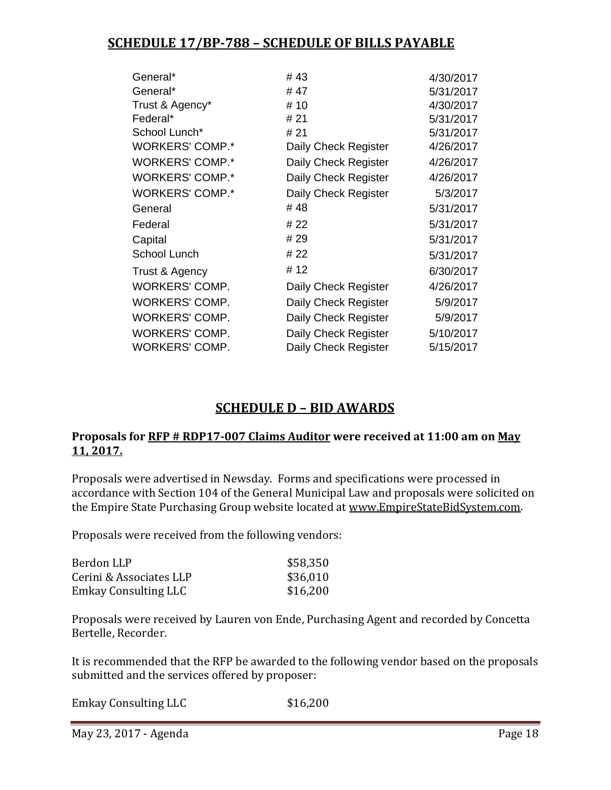# **SCHEDULE 17/BP-788 – SCHEDULE OF BILLS PAYABLE**

| General*               | # 43                 | 4/30/2017 |
|------------------------|----------------------|-----------|
| General*               | # 47                 | 5/31/2017 |
| Trust & Agency*        | #10                  | 4/30/2017 |
| Federal*               | # 21                 | 5/31/2017 |
| School Lunch*          | # 21                 | 5/31/2017 |
| <b>WORKERS' COMP.*</b> | Daily Check Register | 4/26/2017 |
| <b>WORKERS' COMP.*</b> | Daily Check Register | 4/26/2017 |
| <b>WORKERS' COMP.*</b> | Daily Check Register | 4/26/2017 |
| <b>WORKERS' COMP.*</b> | Daily Check Register | 5/3/2017  |
| General                | # 48                 | 5/31/2017 |
| Federal                | # 22                 | 5/31/2017 |
| Capital                | # 29                 | 5/31/2017 |
| School Lunch           | # 22                 | 5/31/2017 |
| Trust & Agency         | #12                  | 6/30/2017 |
| <b>WORKERS' COMP.</b>  | Daily Check Register | 4/26/2017 |
| WORKERS' COMP.         | Daily Check Register | 5/9/2017  |
| <b>WORKERS' COMP.</b>  | Daily Check Register | 5/9/2017  |
| <b>WORKERS' COMP.</b>  | Daily Check Register | 5/10/2017 |
| <b>WORKERS' COMP.</b>  | Daily Check Register | 5/15/2017 |
|                        |                      |           |

# **SCHEDULE D – BID AWARDS**

#### **Proposals for RFP # RDP17-007 Claims Auditor were received at 11:00 am on May 11, 2017.**

Proposals were advertised in Newsday. Forms and specifications were processed in accordance with Section 104 of the General Municipal Law and proposals were solicited on the Empire State Purchasing Group website located at [www.EmpireStateBidSystem.com.](http://www.empirestatebidsystem.com/)

Proposals were received from the following vendors:

| Berdon LLP                  | \$58,350 |
|-----------------------------|----------|
| Cerini & Associates LLP     | \$36,010 |
| <b>Emkay Consulting LLC</b> | \$16,200 |

Proposals were received by Lauren von Ende, Purchasing Agent and recorded by Concetta Bertelle, Recorder.

It is recommended that the RFP be awarded to the following vendor based on the proposals submitted and the services offered by proposer:

Emkay Consulting LLC \$16,200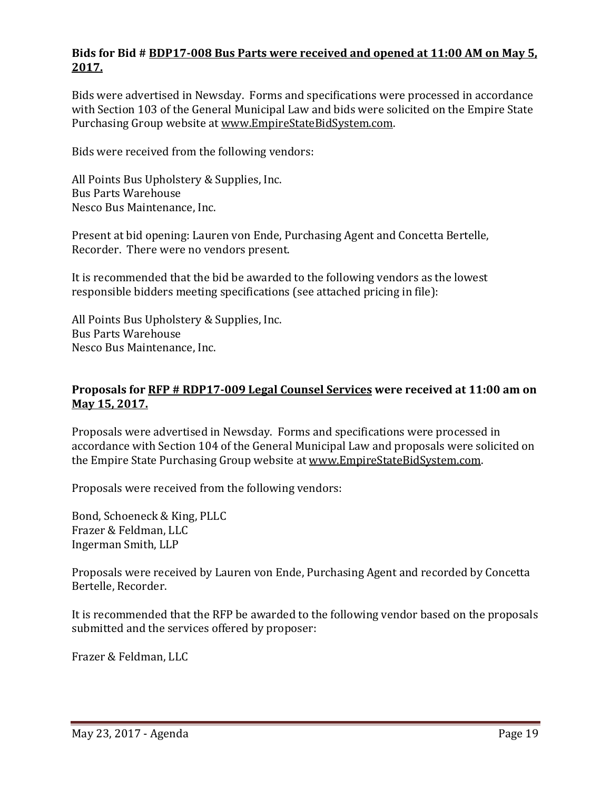# **Bids for Bid # BDP17-008 Bus Parts were received and opened at 11:00 AM on May 5, 2017.**

Bids were advertised in Newsday. Forms and specifications were processed in accordance with Section 103 of the General Municipal Law and bids were solicited on the Empire State Purchasing Group website at [www.EmpireStateBidSystem.com.](http://www.empirestatebidsystem.com/)

Bids were received from the following vendors:

All Points Bus Upholstery & Supplies, Inc. Bus Parts Warehouse Nesco Bus Maintenance, Inc.

Present at bid opening: Lauren von Ende, Purchasing Agent and Concetta Bertelle, Recorder. There were no vendors present.

It is recommended that the bid be awarded to the following vendors as the lowest responsible bidders meeting specifications (see attached pricing in file):

All Points Bus Upholstery & Supplies, Inc. Bus Parts Warehouse Nesco Bus Maintenance, Inc.

### **Proposals for RFP # RDP17-009 Legal Counsel Services were received at 11:00 am on May 15, 2017.**

Proposals were advertised in Newsday. Forms and specifications were processed in accordance with Section 104 of the General Municipal Law and proposals were solicited on the Empire State Purchasing Group website at [www.EmpireStateBidSystem.com.](http://www.empirestatebidsystem.com/)

Proposals were received from the following vendors:

Bond, Schoeneck & King, PLLC Frazer & Feldman, LLC Ingerman Smith, LLP

Proposals were received by Lauren von Ende, Purchasing Agent and recorded by Concetta Bertelle, Recorder.

It is recommended that the RFP be awarded to the following vendor based on the proposals submitted and the services offered by proposer:

Frazer & Feldman, LLC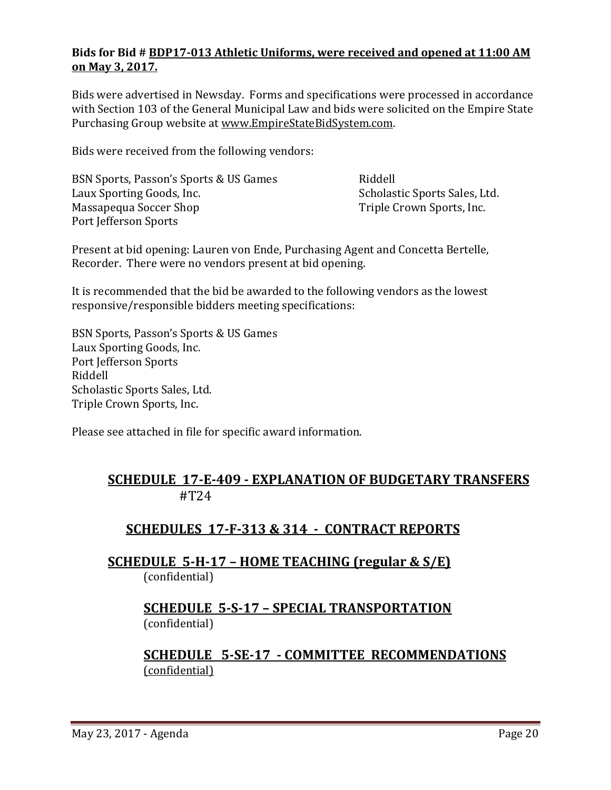# **Bids for Bid # BDP17-013 Athletic Uniforms, were received and opened at 11:00 AM on May 3, 2017.**

Bids were advertised in Newsday. Forms and specifications were processed in accordance with Section 103 of the General Municipal Law and bids were solicited on the Empire State Purchasing Group website at [www.EmpireStateBidSystem.com.](http://www.empirestatebidsystem.com/)

Bids were received from the following vendors:

BSN Sports, Passon's Sports & US Games Riddell Scholastic Sports Sales, Ltd.<br>Triple Crown Sports, Inc. Massapequa Soccer Shop Port Jefferson Sports

Present at bid opening: Lauren von Ende, Purchasing Agent and Concetta Bertelle, Recorder. There were no vendors present at bid opening.

It is recommended that the bid be awarded to the following vendors as the lowest responsive/responsible bidders meeting specifications:

BSN Sports, Passon's Sports & US Games Laux Sporting Goods, Inc. Port Jefferson Sports Riddell Scholastic Sports Sales, Ltd. Triple Crown Sports, Inc.

Please see attached in file for specific award information.

# **SCHEDULE 17-E-409 - EXPLANATION OF BUDGETARY TRANSFERS** #T24

# **SCHEDULES 17-F-313 & 314 - CONTRACT REPORTS**

**SCHEDULE 5-H-17 – HOME TEACHING (regular & S/E)**  (confidential)

# **SCHEDULE 5-S-17 – SPECIAL TRANSPORTATION**  (confidential)

# **SCHEDULE 5-SE-17 - COMMITTEE RECOMMENDATIONS** (confidential)